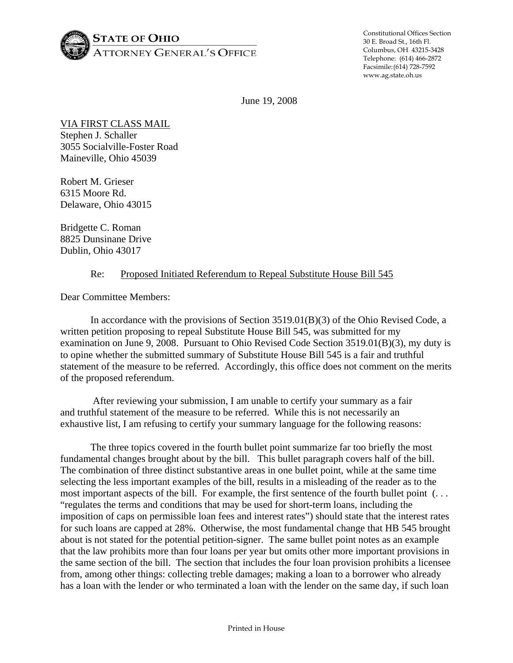

Constitutional Offices Section 30 E. Broad St., 16th Fl. Columbus, OH 43215-3428 Telephone: (614) 466-2872 Facsimile: (614) 728-7592 www.ag.state.oh.us

June 19, 2008

VIA FIRST CLASS MAIL Stephen J. Schaller 3055 Socialville-Foster Road Maineville, Ohio 45039

Robert M. Grieser 6315 Moore Rd. Delaware, Ohio 43015

Bridgette C. Roman 8825 Dunsinane Drive Dublin, Ohio 43017

## Re: Proposed Initiated Referendum to Repeal Substitute House Bill 545

Dear Committee Members:

 In accordance with the provisions of Section 3519.01(B)(3) of the Ohio Revised Code, a written petition proposing to repeal Substitute House Bill 545, was submitted for my examination on June 9, 2008. Pursuant to Ohio Revised Code Section 3519.01(B)(3), my duty is to opine whether the submitted summary of Substitute House Bill 545 is a fair and truthful statement of the measure to be referred. Accordingly, this office does not comment on the merits of the proposed referendum.

 After reviewing your submission, I am unable to certify your summary as a fair and truthful statement of the measure to be referred. While this is not necessarily an exhaustive list, I am refusing to certify your summary language for the following reasons:

 The three topics covered in the fourth bullet point summarize far too briefly the most fundamental changes brought about by the bill. This bullet paragraph covers half of the bill. The combination of three distinct substantive areas in one bullet point, while at the same time selecting the less important examples of the bill, results in a misleading of the reader as to the most important aspects of the bill. For example, the first sentence of the fourth bullet point (. . . "regulates the terms and conditions that may be used for short-term loans, including the imposition of caps on permissible loan fees and interest rates") should state that the interest rates for such loans are capped at 28%. Otherwise, the most fundamental change that HB 545 brought about is not stated for the potential petition-signer. The same bullet point notes as an example that the law prohibits more than four loans per year but omits other more important provisions in the same section of the bill. The section that includes the four loan provision prohibits a licensee from, among other things: collecting treble damages; making a loan to a borrower who already has a loan with the lender or who terminated a loan with the lender on the same day, if such loan